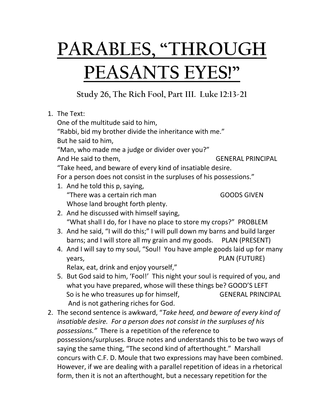## **PARABLES, "THROUGH PEASANTS EYES!"**

**Study 26, The Rich Fool, Part III. Luke 12:13-21**

|  | 1. The Text:                                                                                                                                                                                                                                                                                   |                          |  |
|--|------------------------------------------------------------------------------------------------------------------------------------------------------------------------------------------------------------------------------------------------------------------------------------------------|--------------------------|--|
|  | One of the multitude said to him,<br>"Rabbi, bid my brother divide the inheritance with me."<br>But he said to him,                                                                                                                                                                            |                          |  |
|  |                                                                                                                                                                                                                                                                                                |                          |  |
|  |                                                                                                                                                                                                                                                                                                |                          |  |
|  | "Man, who made me a judge or divider over you?"                                                                                                                                                                                                                                                |                          |  |
|  | And He said to them,                                                                                                                                                                                                                                                                           | <b>GENERAL PRINCIPAL</b> |  |
|  | "Take heed, and beware of every kind of insatiable desire.                                                                                                                                                                                                                                     |                          |  |
|  | For a person does not consist in the surpluses of his possessions."                                                                                                                                                                                                                            |                          |  |
|  | 1. And he told this p, saying,                                                                                                                                                                                                                                                                 |                          |  |
|  | "There was a certain rich man                                                                                                                                                                                                                                                                  | <b>GOODS GIVEN</b>       |  |
|  | Whose land brought forth plenty.                                                                                                                                                                                                                                                               |                          |  |
|  | 2. And he discussed with himself saying,                                                                                                                                                                                                                                                       |                          |  |
|  | "What shall I do, for I have no place to store my crops?" PROBLEM<br>3. And he said, "I will do this;" I will pull down my barns and build larger                                                                                                                                              |                          |  |
|  |                                                                                                                                                                                                                                                                                                |                          |  |
|  | barns; and I will store all my grain and my goods. PLAN (PRESENT)                                                                                                                                                                                                                              |                          |  |
|  | 4. And I will say to my soul, "Soul! You have ample goods laid up for many                                                                                                                                                                                                                     |                          |  |
|  | years,                                                                                                                                                                                                                                                                                         | <b>PLAN (FUTURE)</b>     |  |
|  | Relax, eat, drink and enjoy yourself,"                                                                                                                                                                                                                                                         |                          |  |
|  |                                                                                                                                                                                                                                                                                                |                          |  |
|  | 5. But God said to him, 'Fool!' This night your soul is required of you, and<br>what you have prepared, whose will these things be? GOOD'S LEFT                                                                                                                                                |                          |  |
|  | So is he who treasures up for himself,                                                                                                                                                                                                                                                         | <b>GENERAL PRINCIPAL</b> |  |
|  |                                                                                                                                                                                                                                                                                                |                          |  |
|  | And is not gathering riches for God.                                                                                                                                                                                                                                                           |                          |  |
|  | 2. The second sentence is awkward, "Take heed, and beware of every kind of<br>insatiable desire. For a person does not consist in the surpluses of his<br>possessions." There is a repetition of the reference to<br>possessions/surpluses. Bruce notes and understands this to be two ways of |                          |  |
|  |                                                                                                                                                                                                                                                                                                |                          |  |
|  |                                                                                                                                                                                                                                                                                                |                          |  |
|  |                                                                                                                                                                                                                                                                                                |                          |  |
|  | saying the same thing, "The second kind of afterthought." Marshall                                                                                                                                                                                                                             |                          |  |
|  | concurs with C.F. D. Moule that two expressions may have been combined.                                                                                                                                                                                                                        |                          |  |

However, if we are dealing with a parallel repetition of ideas in a rhetorical

form, then it is not an afterthought, but a necessary repetition for the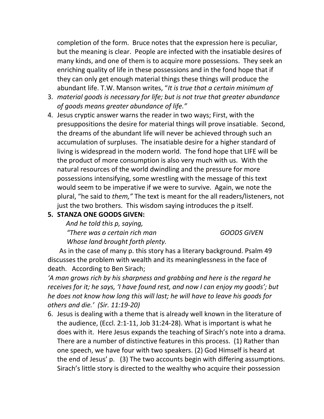completion of the form. Bruce notes that the expression here is peculiar, but the meaning is clear. People are infected with the insatiable desires of many kinds, and one of them is to acquire more possessions. They seek an enriching quality of life in these possessions and in the fond hope that if they can only get enough material things these things will produce the abundant life. T.W. Manson writes, "*It is true that a certain minimum of* 

- 3. *material goods is necessary for life; but is not true that greater abundance of goods means greater abundance of life."*
- 4. Jesus cryptic answer warns the reader in two ways; First, with the presuppositions the desire for material things will prove insatiable. Second, the dreams of the abundant life will never be achieved through such an accumulation of surpluses. The insatiable desire for a higher standard of living is widespread in the modern world. The fond hope that LIFE will be the product of more consumption is also very much with us. With the natural resources of the world dwindling and the pressure for more possessions intensifying, some wrestling with the message of this text would seem to be imperative if we were to survive. Again, we note the plural, "he said to *them,"* The text is meant for the all readers/listeners, not just the two brothers. This wisdom saying introduces the p itself.

## **5. STANZA ONE GOODS GIVEN:**

*And he told this p, saying,* 

*"There was a certain rich man GOODS GIVEN*

*Whose land brought forth plenty.* 

 As in the case of many p. this story has a literary background. Psalm 49 discusses the problem with wealth and its meaninglessness in the face of death. According to Ben Sirach;

*'A man grows rich by his sharpness and grabbing and here is the regard he receives for it; he says, 'I have found rest, and now I can enjoy my goods'; but he does not know how long this will last; he will have to leave his goods for others and die.' (Sir. 11:19-20)* 

6. Jesus is dealing with a theme that is already well known in the literature of the audience, (Eccl. 2:1-11, Job 31:24-28). What is important is what he does with it. Here Jesus expands the teaching of Sirach's note into a drama. There are a number of distinctive features in this process. (1) Rather than one speech, we have four with two speakers. (2) God Himself is heard at the end of Jesus' p. (3) The two accounts begin with differing assumptions. Sirach's little story is directed to the wealthy who acquire their possession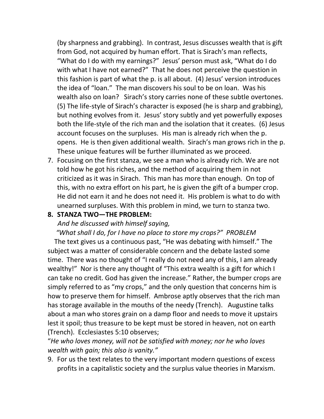(by sharpness and grabbing). In contrast, Jesus discusses wealth that is gift from God, not acquired by human effort. That is Sirach's man reflects, "What do I do with my earnings?" Jesus' person must ask, "What do I do with what I have not earned?" That he does not perceive the question in this fashion is part of what the p. is all about. (4) Jesus' version introduces the idea of "loan." The man discovers his soul to be on loan. Was his wealth also on loan? Sirach's story carries none of these subtle overtones. (5) The life-style of Sirach's character is exposed (he is sharp and grabbing), but nothing evolves from it. Jesus' story subtly and yet powerfully exposes both the life-style of the rich man and the isolation that it creates. (6) Jesus account focuses on the surpluses. His man is already rich when the p. opens. He is then given additional wealth. Sirach's man grows rich in the p. These unique features will be further illuminated as we proceed.

7. Focusing on the first stanza, we see a man who is already rich. We are not told how he got his riches, and the method of acquiring them in not criticized as it was in Sirach. This man has more than enough. On top of this, with no extra effort on his part, he is given the gift of a bumper crop. He did not earn it and he does not need it. His problem is what to do with unearned surpluses. With this problem in mind, we turn to stanza two.

## **8. STANZA TWO—THE PROBLEM:**

*And he discussed with himself saying,* 

 *"What shall I do, for I have no place to store my crops?" PROBLEM*

 The text gives us a continuous past, "He was debating with himself." The subject was a matter of considerable concern and the debate lasted some time. There was no thought of "I really do not need any of this, I am already wealthy!" Nor is there any thought of "This extra wealth is a gift for which I can take no credit. God has given the increase." Rather, the bumper crops are simply referred to as "my crops," and the only question that concerns him is how to preserve them for himself. Ambrose aptly observes that the rich man has storage available in the mouths of the needy (Trench). Augustine talks about a man who stores grain on a damp floor and needs to move it upstairs lest it spoil; thus treasure to be kept must be stored in heaven, not on earth (Trench). Ecclesiastes 5:10 observes;

"*He who loves money, will not be satisfied with money; nor he who loves wealth with gain; this also is vanity."*

9. For us the text relates to the very important modern questions of excess profits in a capitalistic society and the surplus value theories in Marxism.